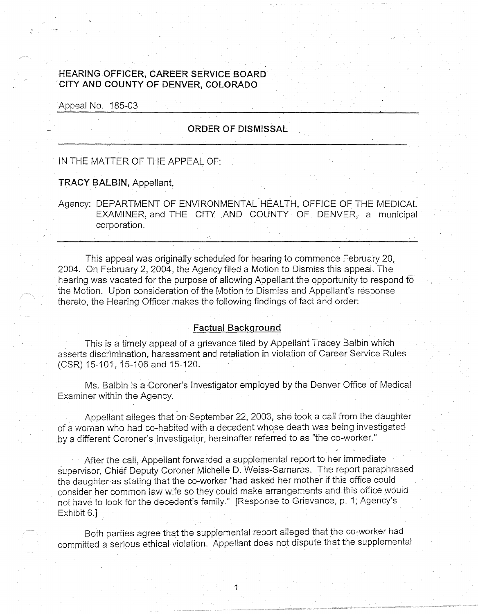## **HEARING OFFICER, CAREER SERVICE BOARD**  -**CITY AND COUNTY OF DENVER, COLORADO**

Appeal No. 185-03

# **ORDER OF DISMISSAL**

### IN THE MATTER OF THE APPEAL OF:

**TRACY BALBIN,** Appellant,

Agency: DEPARTMENT OF ENVIRONMENTAL HEALTH, OFFICE OF THE MEDICAL EXAMINER, and THE CITY AND COUNTY OF DENVER, a municipal corporation.

This appeal was originally scheduled for hearing to commence February 20, 2004. On February 2, 2004, the Agency filed a Motion to Dismiss this appeal. The hearing was vacated for the purpose of allowing Appellant the opportunity to respond to the Motion. Upon consideration of the Motion to Dismiss and Appellant's response thereto, the Hearing Officer makes the following findings of fact and order:

#### **Factual Background**

This is a timely appeal of a grievance filed by Appellant Tracey Balbin which asserts discrimination, harassment and retaliation in violation of Career Service Rules (CSR) 15-101, 15-106 and 15-120.

Ms. Balbin is a Coroner's Investigator employed by the Denver Office of Medical Examiner within the Agency.

Appellant aileges that on September 22, 2003, she took a call from the daughter of a woman who had co-habited with a decedent whose death was being investigated by a different Coroner's Investigator, hereinafter referred to as "the co-worker."

After the call, Appellant forwarded a supplemental report to her immediate supervisor, Chief Deputy Coroner Michelle D. Weiss-Samaras. The report paraphrased the daughter-as stating that the co-worker "had asked her mother if this office could consider her common law wife so they could make arrangements and this office wouid not have to look for the decedent's family." [Response to Grievance, p. 1; Agency's Exhibit 6.]

Both parties agree that the supplemental report alleged that the co-worker had committed a serious ethical violation. Appellant does not dispute that the supplemental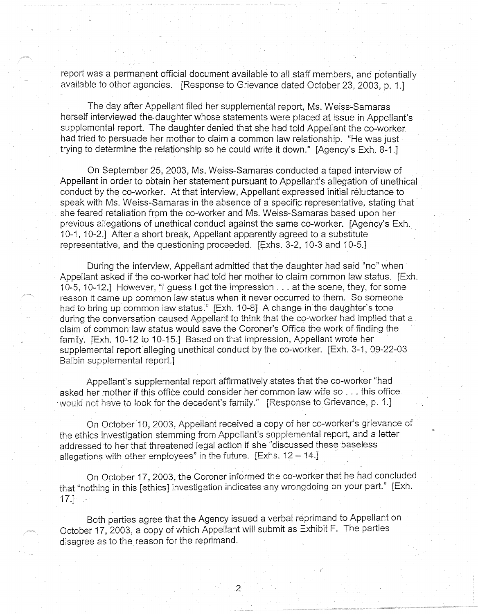report was a permanent official document available to all staff members, and potentially available to other agencies. [Response *to* Grievance dated October 23, 2003, p. 1.]

The day after Appellant filed her supplemental report, Ms. Weiss-Samaras herself interviewed the daughter whose statements were placed at issue in Appellant's · supplemental report. The daughter denied that she had told Appellant the co-worker had tried to persuade her mother to claim a common law relationship. "He was just trying to determine the relationship so he could write it down." [Agency's Exh. 8-1.]

On September 25, 2003, Ms. Weiss-Samaras conducted a taped interview of Appeilant in order to obtain her statement pursuant to Appellant's allegation of unethical conduct by the co-worker. At that interview, Appellant expressed initial reluctance to speak with Ms. Weiss-Samaras in the absence of a specific representative, stating that she feared retaliation from the co-worker and Ms. Weiss-Samaras based upon her previous allegations of unethical conduct against the same co-worker. [Agency's Exh. 10-1, 10-2.] After a short break, Appellant apparently agreed to a substitute representative, and the questioning proceeded. [Exhs. 3-2, 10-3 and 10-5.]

During the interview, Appellant admitted that the daughter had said "no" when Appellant asked if the co-worker had told her mother to claim common law status. [Exh. 10-5, 10-12.] However, "I guess I got the impression ... at the scene, they, for some reason it came up common law status-when it never occurred to them. So someone had to bring up common law status." [Exh. 10-8] A change in the daughter's tone during the conversation caused Appellant *to* think that the co-worker had implied that a claim of common law status would save the Coroner's Office the work of finding the family. [Exh. 10-12 to 10-15.] Based on that impression, Appellant wrote her supplemental report alleging unethical conduct by the co-worker. [Exh. 3-1, 09-22-03 Balbin supplemental report.]

Appellant's supplemental report affirmatively states that the co-worker "had asked her mother if this office could consider her common law wife so ... this office would not have to look for the decedent's family." [Response to Grievance, p. 1.]

On October 10, 2003, Appeilant received a copy of her co-worker's grievance of the ethics investigation stemming from Appellant's supplemental report, and a letter addressed to her that threatened legal action if she "discussed these baseless allegations with other employees" in the future. [Exhs.  $12 - 14$ .]

On October 17, 2003, the Coroner informed the co-worker that he had concluded that "nothing in this [ethics] investigation indicates any wrongdoing on your part." [Exh. 17.]

Both parties agree that the Agency issued a verbal reprimand to Appellant on October 17, 2003, a copy of which Appellant will submit as Exhibit F. The parties disagree as to the reason for the reprimand.

*(*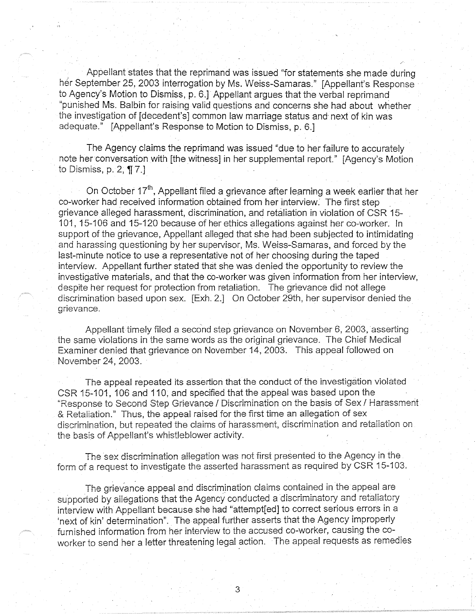) Appellant states that the reprimand was issued "for statements she made during her September 25, 2003 interrogation by Ms. Weiss-Samaras." [Appellant's Response to Agency's Motion to Dismiss, p. 6.] Appellant argues that the verbal reprimand "punished Ms. Balbin for raising valid questions and concerns she had about whether the investigation of [decedent's] common law marriage status and next of kin was adequate." [Appellant's Response to Motion to Dismiss, p. 6.]

The Agency claims the reprimand was issued "due to her failure to accurately note her conversation with [the witness] in her supplemental report." [Agency's Motion to Dismiss, p.  $2, \P 7.1$ 

On October  $17<sup>th</sup>$ , Appellant filed a grievance after learning a week earlier that her co-worker had received information obtained from her interview. The first step grievance alleged harassment, discrimination, and retaliation in violation of CSR 15- 101, 15-106 and 15-120 because of her ethics allegations against her co-worker. In support of the grievance, Appellant alleged that she had been subjected to intimidating and harassing questioning by her supervisor, Ms. Weiss-Samaras, and forced by the last-minute notice to use a representative not of her choosing during the taped interview. Appellant further stated that she was denied the opportunity to review the investigative materials, and that the co-worker was given information from her interview, despite her request for protection from retaliation. The grievance did not allege discrimination based upon sex. [Exh. 2.] On October 29th, her supervisor denied the grievance.

Appellant timely filed a second step grievance on November 6, 2003, asserting the same violations in the same words as the original grievance. The Chief Medical Examiner denied that grievance on November 14, 2003. This appeal followed on November 24, 2003.

The appeal repeated its assertion that the conduct of the investigation violated CSR 15-101, 106 and 110, and specified that the appeal was based upon the "Response to Second Step Grievance / Discrimination on the basis of Sex/ Harassment & Retaliation." Thus, the appeal raised for the first time an allegation of sex discrimination, but repeated the claims of harassment, discrimination and retaiiation on the basis of Appellant's whistleblower activity.

The sex discrimination allegation was not first presented to the Agency in the form of a request to investigate the asserted harassment as required by CSR 15-103.

The grievance appeal and discrimination claims contained in the appeal are supported by ailegations that the Agency conducted a discriminatory and retaliatory interview with Appellant because she had "attempt[ed] to correct serious errors in a 'next of kin' determination". The appeal further asserts that the Agency improperly furnished information from her interview to the accused co-worker, causing the coworker to send her a letter threatening legal action. The appeal requests as remedies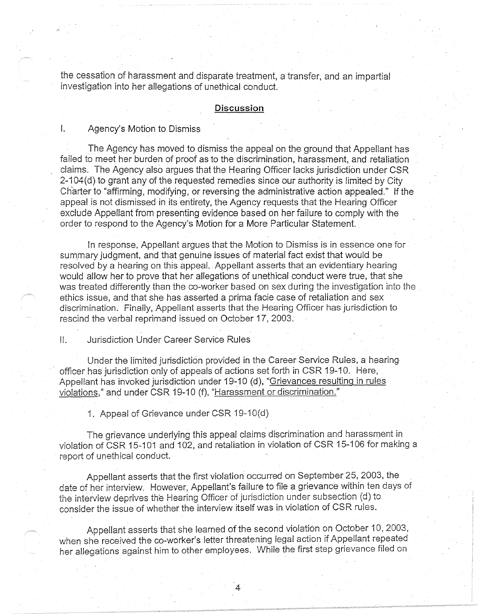the cessation of harassment and disparate treatment, a transfer, and an impartial investigation into her allegations of unethical conduct.

#### **Discussion**

## I. Agency's Motion to Dismiss

The Agency has moved to dismiss the appeal on the ground that Appellant has failed to meet her burden of proof as to the discrimination, harassment, and retaliation claims. The Agency also argues that the Hearing Officer lacks jurisdiction under CSR  $2-104(d)$  to grant any of the requested remedies since our authority is limited by City Charter to "affirming, modifying, or reversing the administrative action appealed." If the appeal is not dismissed in its entirety, the Agency requests that the Hearing Officer exclude Appellant from presenting evidence based on her failure to comply with the order to respond to the Agency's Motion for a More Particular Statement.

In response, Appellant argues that the Motion to Dismiss is in essence one for summary judgment, and that genuine issues of material fact exist that would be resolved by a hearing on this appeal. . Appellant asserts that an evidentiary hearing would allow her to prove that her allegations of unethical conduct were true, that she was treated differently than the co-worker based on sex during the investigation into the ethics issue, and that she has asserted a prima facie case of retaliation and sex discrimination. Finally, Appellant asserts that the Hearing Officer has jurisdiction to rescind the verbal reprimand issued on October 17, 2003.

II. Jurisdiction Under Career Service Rules

Under the limited jurisdiction provided in the Career Service Rules, a hearing· officer has jurisdiction only of appeals of actions set forth in CSR 19-10. Here, Appellant has invoked jurisdiction under 19-10 (d), "Grievances resulting in rules violations," and under CSR 19-10 (f), "Harassment or discrimination."

1. Appeal of Grievance under CSR 19-10(d)

The grievance underlying this appeal claims discrimination and harassment in violation of CSR 15-101 and 102, and retaliation in violation of CSR 15-106 for making a report of unethical conduct.

Appellant asserts that the first violation occurred on September 25, 2003, the date of her interview. However, Appellant's failure to file a grievance within ten days of the interview deprives the Hearing Officer of jurisdiction under subsection (d) to consider the issue of whether the interview itself was in violation of CSR rules.

Appellant asserts that she learned of the second violation on October 10, 2003, when she received the co-worker's letter threatening legal action if Appellant repeated her allegations against him to other employees. While the first step grievance filed on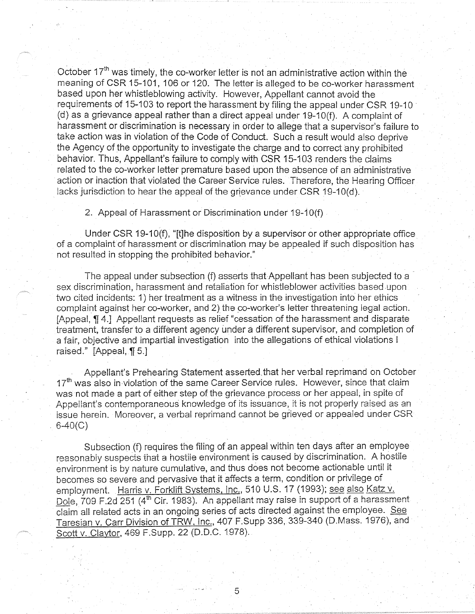October 17<sup>th</sup> was timely, the co-worker letter is not an administrative action within the meaning of CSR 15-101, 106 or 120. The letter is alleged to be co-worker harassment based upon her whistleblowing activity. However, Appellant cannot avoid the requirements of 15-103 to report the harassment by filing the appeal under CSR 19-10 (d) as a grievance appeal rather than a direct appeal under 19-1 0(f). A complaint of harassment or discrimination is necessary in order to allege that a supervisor's failure to take action was in violation of the Code of Conduct. Such a result would also deprive the Agency of the opportunity to investigate the charge and to correct any prohibited behavior. Thus, Appellant's failure to comply with CSR 15-103 renders the claims related to the co-worker letter premature based upon the absence of an administrative action or inaction that violated the Career Service rules. Therefore, the Hearing Officer lacks jurisdiction to hear the appeal of the grievance under CSR 19-10(d).

2. Appeal of Harassment or Discrimination under 19-10(f)

Under CSR 19-10(f), "[t]he disposition by a supervisor or other appropriate office of a complaint of harassment or discrimination may be appealed if such disposition has not resulted in stopping the prohibited behavior."

The appeal under subsection (f) asserts that Appellant has been subjected to a sex discrimination, harassment and retaliation for whistleblower activities based upon two cited incidents: 1) her treatment as a witness in the investigation into her ethics complaint against her co-worker, and 2) the co-worker's letter threatening legal action. [Appea], ¶4.] Appellant requests as relief "cessation of the harassment and disparate treatment, transfer to a different agency under a different supervisor, and completion of a fair, objective and impartial investigation into the allegations of ethical violations I raised." [Appeal, 1[ 5.]

Appellant's Prehearing Statement asserted, that her verbal reprimand on October  $17<sup>th</sup>$  was also in violation of the same Career Service rules. However, since that claim was not made a part of either step of the grievance process or her appeal, in spite of .Appellant's contemporaneous knowledge of its issuance, it is not properly raised as an issue herein. Moreover, a verbal reprimand cannot be grieved or appealed under CSR 6-40(C)

Subsection (f) requires the filing of an appeal within ten days after an employee reasonabiy suspects that a hostiie environment is caused by discrimination. A hostile environment is by nature cumulative, and thus does not become actionable until it becomes so severe and pervasive that it affects a term, condition or privilege of employment. Harris v. Forklift Systems, Inc., 510 U.S. 17 (1993); see also Katz v. Dole, 709 F.2d 251 (4<sup>th</sup> Cir. 1983). An appellant may raise in support of a harassment daim all related acts in an ongoing series of acts directed against the employee. See Taresian v. Carr Division of TRW. Inc., 407 F.Supp 336, 339-340 (D.Mass. 1976), and Scott v, Claytor, 469 F.Supp. 22 (D.D.C. 1978).

5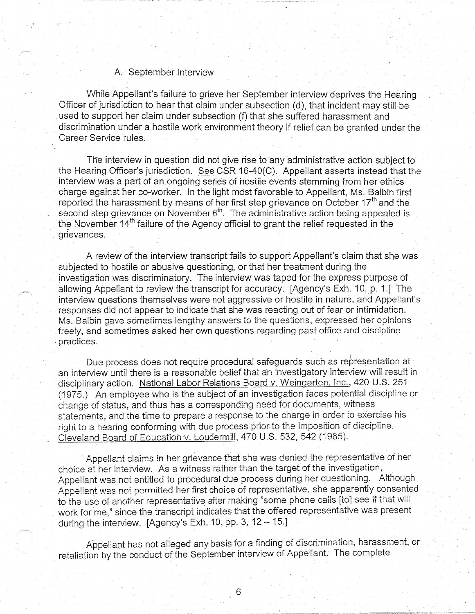### A. September Interview

While Appellant's failure to grieve her September interview deprives the Hearing Officer of jurisdiction to hear that claim under subsection (d), that incident may still be used to support her claim under subsection (f) that she suffered harassment and \_ discrimination under a hostile work environment theory if relief can be granted under the Career Service rules.

The interview in question did not give rise to any administrative action subject to the Hearing Officer's jurisdiction. See CSR 16-40(C). Appellant asserts instead that the interview was a part of an ongoing series of hostiie events stemming from her ethics charge against her co-worker. In the light most favorable to Appellant, Ms. Balbin first reported the harassment by means of her first step grievance on October 17<sup>th</sup> and the second step grievance on November  $6<sup>th</sup>$ . The administrative action being appealed is the November  $14<sup>th</sup>$  failure of the Agency official to grant the relief requested in the grievances.

A review of the interview transcript fails to support Appellant's claim that she was subjected to hostile or abusive questioning, or that her treatment during the investigation was discriminatory. The interview was taped for the express purpose of allowing Appellant to review the transcript for accuracy. [Agency's Exh. 10, p. 1.]' The interview questions themselves were not aggressive or hostile in nature, and Appellant's responses did not appear to indicate that she was reacting out of fear or intimidation. Ms. Balbin gave sometimes lengthy answers to the questions, expressed her opinions freely, and sometimes asked her own questions regarding past office and discipline -practices.

Due process does not require procedural safeguards such as representation at an interview until there is a reasonable belief that an investigatory interview will result in disciplinary action. National Labor Relations Board v. Weingarten, Inc., 420 U.S. 251 (1975.) An employee who is the subject of an investigation faces potential discipline or change of status, and thus has a corresponding need for documents, witness statements, and the time to prepare a response to the charge in order to exercise his right to a hearing conforming with due process prior to the imposition of discipiine. Cleveland Board of Education v. Loudermill, 470 U.S. 532, 542 (1985).

Appellant claims in her grievance that she was denied the representative of her choice at her interview. As a witness rather than the target of the investigation, Appellant was not entitled to procedural due process during her questioning. Although Appeiiant was not permitted her first choice of representative, she apparentiy consented to the use of another representative after making "some phone cails [to] see if that will work for me," since the transcript indicates that the offered representative was present during the interview. [Agency's Exh. 10, pp. 3,  $12-15$ .]

Appellant has not alleged any basis for a finding of discrimination, harassment, or retaliation by the conduct of the September interview of Appellant. The complete

6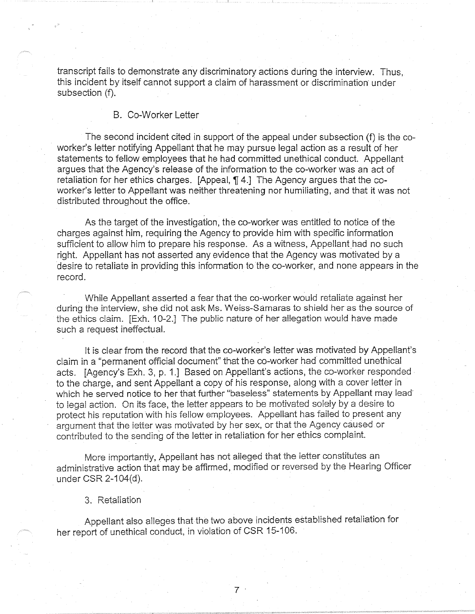transcript fails to demonstrate any discriminatory actions during the interview. Thus, this incident by itself cannot support a claim of harassment or discrimination under subsection (f).

### B. Co-Worker Letter

The second incident cited in support of the appeal under subsection (f) is the coworker's letter notifying Appellant that he may pursue legal action as a result of her statements to fellow employees that he had committed unethical conduct. Appellant argues that the Agency's release of the information to the co-worker was an act of retaliation for her ethics charges. [Appeal,  $\P$  4.] The Agency argues that the coworker's letter to Appellant was neither threatening nor humiliating, and that it was not distributed throughout the office.

As the target of the investigation, the co-worker was entitled to notice of the charges against him, requiring the Agency to provide him with specific information sufficient to allow him to prepare his response. As a witness, Appellant had no such right. Appellant has not asserted any evidence that the Agency was motivated by a desire to retaliate in providing this information to the co-worker, and none appears in the record.

While Appellant asserted a fear that the co-worker would retaliate against her during the interview, she did not ask Ms. Weiss-Samaras to shield her as the source of the ethics claim. [Exh. 10-2.] The public nature of her allegation would have made such a request ineffectual.

It is clear from the record that the co-worker's letter was motivated by Appellant's claim in a "permanent official document" that the co-worker had committed unethical acts. [Agency's Exh. 3, p. 1.] Based on Appellant's actions, the co-worker responded to the charge, and sent Appellant a copy of his response, along with a cover letter in which he served notice to her that further "baseless" statements by Appellant may lead to legal action. On its face, the letter appears to be motivated solely by a desire to protect his reputation with his fellow employees. Appellant has faiied to present any argument that the letter was motivated by her sex, or that the Agency caused or contributed to the sending of the letter in retaliation for her ethics complaint.

More importantly, Appellant has not alleged that the letter constitutes an administrative action that may be affirmed, modified or reversed by the Hearing Officer under CSR 2-104(d).

#### 3. Retaliation

Appellant also alleges that the two above incidents established retaliation for her report of unethical conduct, in violation of CSR 15-106.